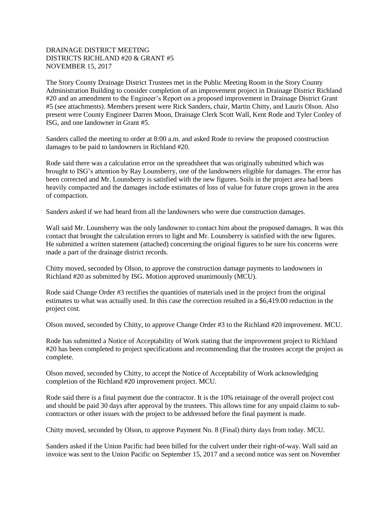## DRAINAGE DISTRICT MEETING DISTRICTS RICHLAND #20 & GRANT #5 NOVEMBER 15, 2017

The Story County Drainage District Trustees met in the Public Meeting Room in the Story County Administration Building to consider completion of an improvement project in Drainage District Richland #20 and an amendment to the Engineer's Report on a proposed improvement in Drainage District Grant #5 (see attachments). Members present were Rick Sanders, chair, Martin Chitty, and Lauris Olson. Also present were County Engineer Darren Moon, Drainage Clerk Scott Wall, Kent Rode and Tyler Conley of ISG, and one landowner in Grant #5.

Sanders called the meeting to order at 8:00 a.m. and asked Rode to review the proposed construction damages to be paid to landowners in Richland #20.

Rode said there was a calculation error on the spreadsheet that was originally submitted which was brought to ISG's attention by Ray Lounsberry, one of the landowners eligible for damages. The error has been corrected and Mr. Lounsberry is satisfied with the new figures. Soils in the project area had been heavily compacted and the damages include estimates of loss of value for future crops grown in the area of compaction.

Sanders asked if we had heard from all the landowners who were due construction damages.

Wall said Mr. Lounsberry was the only landowner to contact him about the proposed damages. It was this contact that brought the calculation errors to light and Mr. Lounsberry is satisfied with the new figures. He submitted a written statement (attached) concerning the original figures to be sure his concerns were made a part of the drainage district records.

Chitty moved, seconded by Olson, to approve the construction damage payments to landowners in Richland #20 as submitted by ISG. Motion approved unanimously (MCU).

Rode said Change Order #3 rectifies the quantities of materials used in the project from the original estimates to what was actually used. In this case the correction resulted in a \$6,419.00 reduction in the project cost.

Olson moved, seconded by Chitty, to approve Change Order #3 to the Richland #20 improvement. MCU.

Rode has submitted a Notice of Acceptability of Work stating that the improvement project to Richland #20 has been completed to project specifications and recommending that the trustees accept the project as complete.

Olson moved, seconded by Chitty, to accept the Notice of Acceptability of Work acknowledging completion of the Richland #20 improvement project. MCU.

Rode said there is a final payment due the contractor. It is the 10% retainage of the overall project cost and should be paid 30 days after approval by the trustees. This allows time for any unpaid claims to subcontractors or other issues with the project to be addressed before the final payment is made.

Chitty moved, seconded by Olson, to approve Payment No. 8 (Final) thirty days from today. MCU.

Sanders asked if the Union Pacific had been billed for the culvert under their right-of-way. Wall said an invoice was sent to the Union Pacific on September 15, 2017 and a second notice was sent on November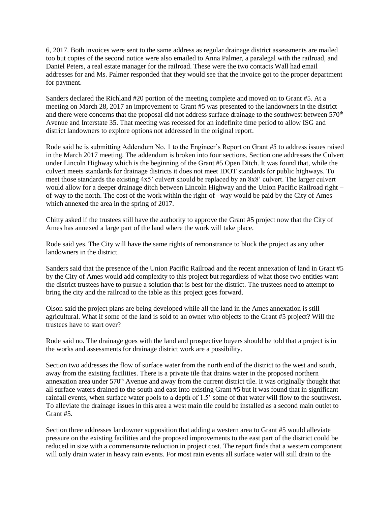6, 2017. Both invoices were sent to the same address as regular drainage district assessments are mailed too but copies of the second notice were also emailed to Anna Palmer, a paralegal with the railroad, and Daniel Peters, a real estate manager for the railroad. These were the two contacts Wall had email addresses for and Ms. Palmer responded that they would see that the invoice got to the proper department for payment.

Sanders declared the Richland #20 portion of the meeting complete and moved on to Grant #5. At a meeting on March 28, 2017 an improvement to Grant #5 was presented to the landowners in the district and there were concerns that the proposal did not address surface drainage to the southwest between 570<sup>th</sup> Avenue and Interstate 35. That meeting was recessed for an indefinite time period to allow ISG and district landowners to explore options not addressed in the original report.

Rode said he is submitting Addendum No. 1 to the Engineer's Report on Grant #5 to address issues raised in the March 2017 meeting. The addendum is broken into four sections. Section one addresses the Culvert under Lincoln Highway which is the beginning of the Grant #5 Open Ditch. It was found that, while the culvert meets standards for drainage districts it does not meet IDOT standards for public highways. To meet those standards the existing 4x5' culvert should be replaced by an 8x8' culvert. The larger culvert would allow for a deeper drainage ditch between Lincoln Highway and the Union Pacific Railroad right – of-way to the north. The cost of the work within the right-of –way would be paid by the City of Ames which annexed the area in the spring of 2017.

Chitty asked if the trustees still have the authority to approve the Grant #5 project now that the City of Ames has annexed a large part of the land where the work will take place.

Rode said yes. The City will have the same rights of remonstrance to block the project as any other landowners in the district.

Sanders said that the presence of the Union Pacific Railroad and the recent annexation of land in Grant #5 by the City of Ames would add complexity to this project but regardless of what those two entities want the district trustees have to pursue a solution that is best for the district. The trustees need to attempt to bring the city and the railroad to the table as this project goes forward.

Olson said the project plans are being developed while all the land in the Ames annexation is still agricultural. What if some of the land is sold to an owner who objects to the Grant #5 project? Will the trustees have to start over?

Rode said no. The drainage goes with the land and prospective buyers should be told that a project is in the works and assessments for drainage district work are a possibility.

Section two addresses the flow of surface water from the north end of the district to the west and south, away from the existing facilities. There is a private tile that drains water in the proposed northern annexation area under 570<sup>th</sup> Avenue and away from the current district tile. It was originally thought that all surface waters drained to the south and east into existing Grant #5 but it was found that in significant rainfall events, when surface water pools to a depth of 1.5' some of that water will flow to the southwest. To alleviate the drainage issues in this area a west main tile could be installed as a second main outlet to Grant #5.

Section three addresses landowner supposition that adding a western area to Grant #5 would alleviate pressure on the existing facilities and the proposed improvements to the east part of the district could be reduced in size with a commensurate reduction in project cost. The report finds that a western component will only drain water in heavy rain events. For most rain events all surface water will still drain to the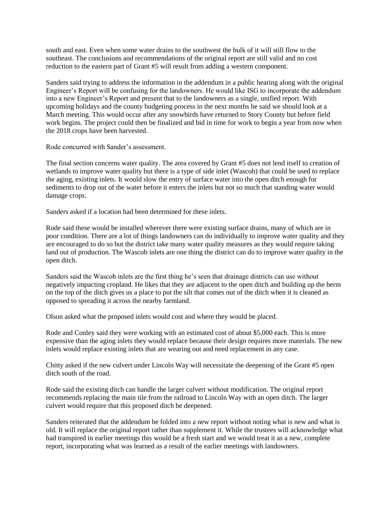south and east. Even when some water drains to the southwest the bulk of it will still flow to the southeast. The conclusions and recommendations of the original report are still valid and no cost reduction to the eastern part of Grant #5 will result from adding a western component.

Sanders said trying to address the information in the addendum in a public hearing along with the original Engineer's Report will be confusing for the landowners. He would like ISG to incorporate the addendum into a new Engineer's Report and present that to the landowners as a single, unified report. With upcoming holidays and the county budgeting process in the next months he said we should look at a March meeting. This would occur after any snowbirds have returned to Story County but before field work begins. The project could then be finalized and bid in time for work to begin a year from now when the 2018 crops have been harvested.

Rode concurred with Sander's assessment.

The final section concerns water quality. The area covered by Grant #5 does not lend itself to creation of wetlands to improve water quality but there is a type of side inlet (Wascob) that could be used to replace the aging, existing inlets. It would slow the entry of surface water into the open ditch enough for sediments to drop out of the water before it enters the inlets but not so much that standing water would damage crops.

Sanders asked if a location had been determined for these inlets.

Rode said these would be installed wherever there were existing surface drains, many of which are in poor condition. There are a lot of things landowners can do individually to improve water quality and they are encouraged to do so but the district take many water quality measures as they would require taking land out of production. The Wascob inlets are one thing the district can do to improve water quality in the open ditch.

Sanders said the Wascob inlets are the first thing he's seen that drainage districts can use without negatively impacting cropland. He likes that they are adjacent to the open ditch and building up the berm on the top of the ditch gives us a place to put the silt that comes out of the ditch when it is cleaned as opposed to spreading it across the nearby farmland.

Olson asked what the proposed inlets would cost and where they would be placed.

Rode and Conley said they were working with an estimated cost of about \$5,000 each. This is more expensive than the aging inlets they would replace because their design requires more materials. The new inlets would replace existing inlets that are wearing out and need replacement in any case.

Chitty asked if the new culvert under Lincoln Way will necessitate the deepening of the Grant #5 open ditch south of the road.

Rode said the existing ditch can handle the larger culvert without modification. The original report recommends replacing the main tile from the railroad to Lincoln Way with an open ditch. The larger culvert would require that this proposed ditch be deepened.

Sanders reiterated that the addendum be folded into a new report without noting what is new and what is old. It will replace the original report rather than supplement it. While the trustees will acknowledge what had transpired in earlier meetings this would be a fresh start and we would treat it as a new, complete report, incorporating what was learned as a result of the earlier meetings with landowners.